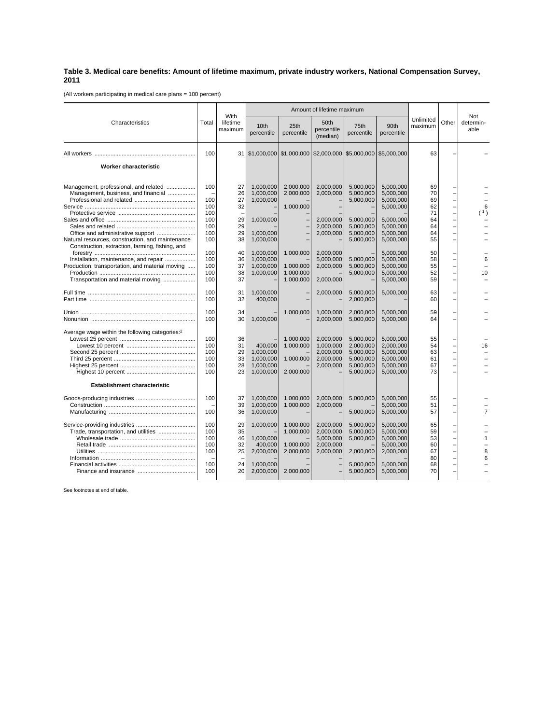## **Table 3. Medical care benefits: Amount of lifetime maximum, private industry workers, National Compensation Survey, 2011**

(All workers participating in medical care plans = 100 percent)

|                                                                                                                                                                                   | Total                                                | With<br>lifetime<br>maximum                  | Amount of lifetime maximum                                                 |                                                  |                                                               |                                                                                         |                                                                                                      |                                                    |                                                                                                          |                          |
|-----------------------------------------------------------------------------------------------------------------------------------------------------------------------------------|------------------------------------------------------|----------------------------------------------|----------------------------------------------------------------------------|--------------------------------------------------|---------------------------------------------------------------|-----------------------------------------------------------------------------------------|------------------------------------------------------------------------------------------------------|----------------------------------------------------|----------------------------------------------------------------------------------------------------------|--------------------------|
| Characteristics                                                                                                                                                                   |                                                      |                                              | 10th<br>percentile                                                         | 25th<br>percentile                               | 50th<br>percentile<br>(median)                                | 75th<br>percentile                                                                      | 90th<br>percentile                                                                                   | Unlimited<br>maximum                               | Other                                                                                                    | Not<br>determin-<br>able |
|                                                                                                                                                                                   | 100                                                  |                                              |                                                                            |                                                  | 31   \$1,000,000   \$1,000,000   \$2,000,000   \$5,000,000    |                                                                                         | \$5,000,000                                                                                          | 63                                                 |                                                                                                          |                          |
| Worker characteristic                                                                                                                                                             |                                                      |                                              |                                                                            |                                                  |                                                               |                                                                                         |                                                                                                      |                                                    |                                                                                                          |                          |
| Management, professional, and related<br>Management, business, and financial<br>Natural resources, construction, and maintenance                                                  | 100<br>100<br>100<br>100<br>100<br>100<br>100<br>100 | 27<br>26<br>27<br>32<br>29<br>29<br>29<br>38 | 1.000.000<br>1,000,000<br>1,000,000<br>1,000,000<br>1,000,000<br>1,000,000 | 2.000.000<br>2,000,000<br>1.000.000              | 2.000.000<br>2,000,000<br>2,000,000<br>2,000,000<br>2,000,000 | 5.000.000<br>5,000,000<br>5,000,000<br>5,000,000<br>5,000,000<br>5.000.000<br>5,000,000 | 5.000.000<br>5.000.000<br>5,000,000<br>5.000.000<br>5,000,000<br>5,000,000<br>5.000.000<br>5,000,000 | 69<br>70<br>69<br>62<br>71<br>64<br>64<br>64<br>55 | $\overline{a}$<br>$\overline{a}$<br>$\overline{a}$<br>$\overline{a}$<br>$\overline{a}$<br>$\overline{a}$ | 6<br>(1)                 |
| Construction, extraction, farming, fishing, and<br>Installation, maintenance, and repair<br>Production, transportation, and material moving<br>Transportation and material moving | 100<br>100<br>100<br>100<br>100                      | 40<br>36<br>37<br>38<br>37                   | 1,000,000<br>1.000.000<br>1,000,000<br>1,000,000                           | 1,000,000<br>1.000.000<br>1.000.000<br>1,000,000 | 2,000,000<br>5.000.000<br>2.000.000<br>2,000,000              | 5,000,000<br>5.000.000<br>5,000,000                                                     | 5,000,000<br>5.000.000<br>5.000.000<br>5.000.000<br>5,000,000                                        | 50<br>58<br>55<br>52<br>59                         | $\overline{\phantom{0}}$<br>-<br>$\overline{\phantom{0}}$                                                | 6<br>10                  |
|                                                                                                                                                                                   | 100<br>100                                           | 31<br>32                                     | 1,000,000<br>400,000                                                       |                                                  | 2,000,000                                                     | 5,000,000<br>2,000,000                                                                  | 5,000,000                                                                                            | 63<br>60                                           | —<br>$\overline{a}$                                                                                      |                          |
|                                                                                                                                                                                   | 100<br>100                                           | 34<br>30                                     | 1,000,000                                                                  | 1,000,000                                        | 1,000,000<br>2,000,000                                        | 2,000,000<br>5,000,000                                                                  | 5,000,000<br>5,000,000                                                                               | 59<br>64                                           |                                                                                                          |                          |
| Average wage within the following categories: <sup>2</sup>                                                                                                                        | 100<br>100<br>100<br>100<br>100<br>100               | 36<br>31<br>29<br>33<br>28<br>23             | 400,000<br>1,000,000<br>1,000,000<br>1.000.000<br>1,000,000                | 1,000,000<br>1,000,000<br>1,000,000<br>2,000,000 | 2,000,000<br>1,000,000<br>2,000,000<br>2.000.000<br>2.000.000 | 5,000,000<br>2,000,000<br>5,000,000<br>5.000.000<br>5,000,000<br>5,000,000              | 5,000,000<br>2,000,000<br>5,000,000<br>5.000.000<br>5.000.000<br>5,000,000                           | 55<br>54<br>63<br>61<br>67<br>73                   | $\overline{a}$<br>-<br>$\overline{a}$                                                                    | 16                       |
| <b>Establishment characteristic</b>                                                                                                                                               | 100                                                  | 37<br>39                                     | 1.000.000<br>1,000,000                                                     | 1.000.000<br>1,000,000                           | 2,000,000<br>2,000,000                                        | 5.000.000                                                                               | 5.000.000<br>5,000,000                                                                               | 55<br>51                                           | $\overline{\phantom{0}}$<br>$\overline{\phantom{0}}$                                                     |                          |
| Trade, transportation, and utilities                                                                                                                                              | 100<br>100<br>100<br>100<br>100<br>100               | 36<br>29<br>35<br>46<br>32<br>25             | 1,000,000<br>1.000.000<br>1,000,000<br>400,000<br>2,000,000                | 1,000,000<br>1.000.000<br>1,000,000<br>2,000,000 | 2,000,000<br>2.000.000<br>5,000,000<br>2,000,000<br>2,000,000 | 5,000,000<br>5,000,000<br>5.000.000<br>5,000,000<br>2,000,000                           | 5,000,000<br>5.000.000<br>5.000.000<br>5,000,000<br>5,000,000<br>2,000,000                           | 57<br>65<br>59<br>53<br>60<br>67<br>80             | $\overline{a}$<br>$\overline{\phantom{0}}$<br>-<br>$\overline{a}$<br>$\overline{a}$                      | 7<br>8<br>6              |
|                                                                                                                                                                                   | 100<br>100                                           | 24<br>20                                     | 1.000.000<br>2,000,000                                                     | 2,000,000                                        |                                                               | 5.000.000<br>5,000,000                                                                  | 5.000.000<br>5,000,000                                                                               | 68<br>70                                           |                                                                                                          |                          |

See footnotes at end of table.